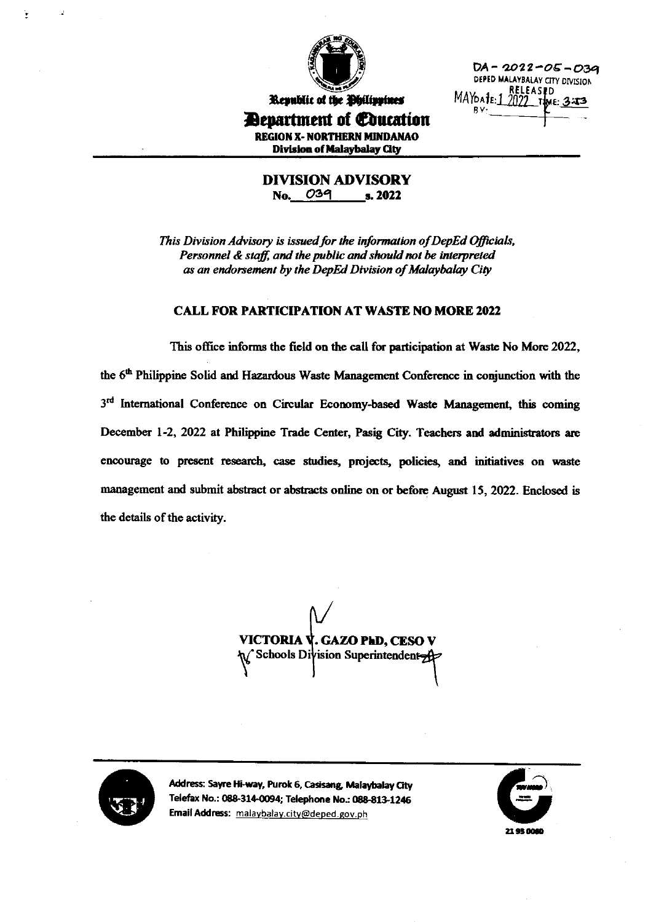

DA - 2022-05-03a DEPED MALAYBALAY CITY DIVISION **RELEAS#D** MAYOA 1E: 1 2022

Republic of the Philippines Department of Coucation **REGION X- NORTHERN MINDANAO** Division of Malaybalay City

> **DIVISION ADVISORY** No. 039 s. 2022

This Division Advisory is issued for the information of DepEd Officials, Personnel & staff, and the public and should not be interpreted as an endorsement by the DepEd Division of Malaybalay City

#### **CALL FOR PARTICIPATION AT WASTE NO MORE 2022**

This office informs the field on the call for participation at Waste No More 2022, the 6<sup>th</sup> Philippine Solid and Hazardous Waste Management Conference in conjunction with the 3rd International Conference on Circular Economy-based Waste Management, this coming December 1-2, 2022 at Philippine Trade Center, Pasig City. Teachers and administrators are encourage to present research, case studies, projects, policies, and initiatives on waste management and submit abstract or abstracts online on or before August 15, 2022. Enclosed is the details of the activity.

VICTORIA V. GAZO PhD, CESO V Schools Division Superintendent



Address: Sayre Hi-way, Purok 6, Casisang, Malaybalay City Telefax No.: 088-314-0094; Telephone No.: 088-813-1246 Email Address: malaybalay.city@deped.gov.ph

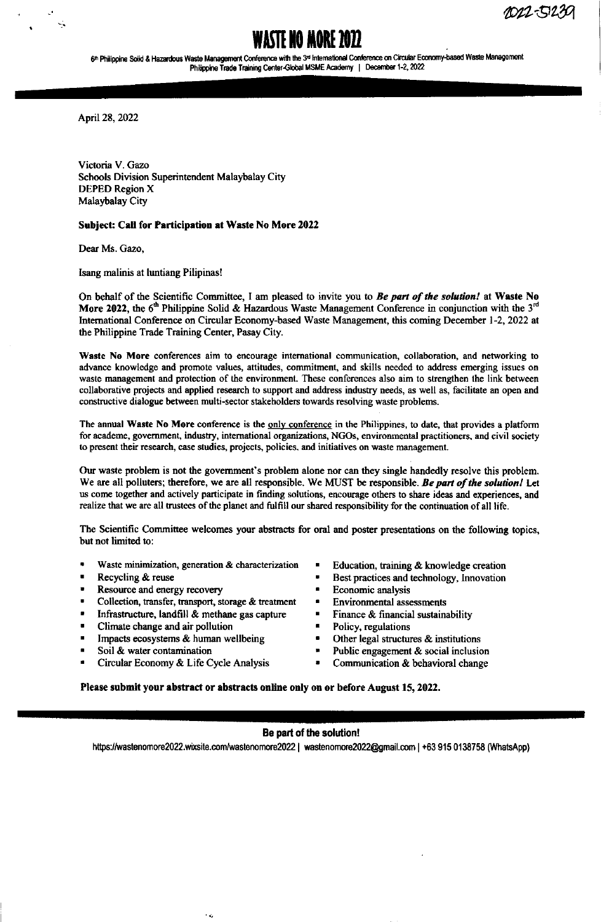1022-51239

# WASIE NO MOKE *L*O*ll*

6<sup>th</sup> Philippine Solid & Hazardous Waste Management Conference with the 3<sup>d</sup> International Conference on Circular Economy-based Waste Management Philippine Trade Training Center-Global MSME Academy | December 1-2, 2022

April 28, 2022

Victoria V. Gazo Schools Division Superintendent Malaybalay City DEPED Region X Malaybalay City

### Subject: Call for Participation at Waste No More 2022

Dear Ms. Gazo,

Isang malinis at luntiang Pilipinas!

On behalf of the Scientific Committee, I am pleased to invite you to Be part of the solution! at Waste No More 2022, the 6<sup>th</sup> Philippine Solid & Hazardous Waste Management Conference in conjunction with the 3<sup>n</sup> Intemational Conference on Circular Economy-based Waste Management, this coming December l-2,2022 at the Philippine Trade Training Center, Pasay City.

Waste No More conferences aim to encourage international communication, collaboration, and networking to advance knowledge and promote values, attitudes, commitment, and skills needed to address emerging issues on waste management and protection of the environment. These conferences also aim to strengthen the link between collaborative projects and applied research to support and address industry needs, as well as, facilitate an open and constructive dialogue between multi-sector stakeholders towards resolving waste problems.

The annual Waste No More conference is the only conference in the Philippines, to date, that provides a platform for academe, government, industry, international organizations, NGOs, environmental practitioners, and civil society to present their research, case studies, projects, policies, and initiatives on waste management.

Our waste problem is not the govemment's problem alone nor can they single handedly resolve this problem. We are all polluters; therefore, we are all responsible. We MUST be responsible. Be part of the solution! Let us come together and actively participate in finding solutions, encourage others to share ideas and experiences, and realize that we are all trustecs of the planet and fulfill our shared responsibility for the continuation ofall life.

The Scientific Committee welcomes your abstracts for oral and poster presentations on the following topics, but not limited to:

- Waste minimization, generation & characterization
- Recycling & reuse
- Resource and energy recovery
- Collection, transfer, transport, storage & treatment

 $\sim$   $\alpha$ 

- Infrastructure, landfill  $\&$  methane gas capture
- Climate change and air pollution
- . Impacts ecosystems & human wellbeing
- Soil & water contamination
- . Circular Economy & Life Cycle Analysis
- Education, training & knowledge creation
- Best practices and technology, Innovation
- $\blacksquare$ Economic analysis
- $\blacksquare$ Environmental assessments
- Finance & financial sustainability
- $\blacksquare$ Policy, regulations
- Other legal structures & institutions
- Public engagement & social inclusion
- Communication & behavioral change  $\blacksquare$

Please submit your abstract or abstracts online only on or before August 15, 2022.

## Be part of the solution!

https://wastenomore2022.wixsite.com/wastenomore2022 | wastenomore2022@gmail.com | +63 915 0138758 (WhatsApp)